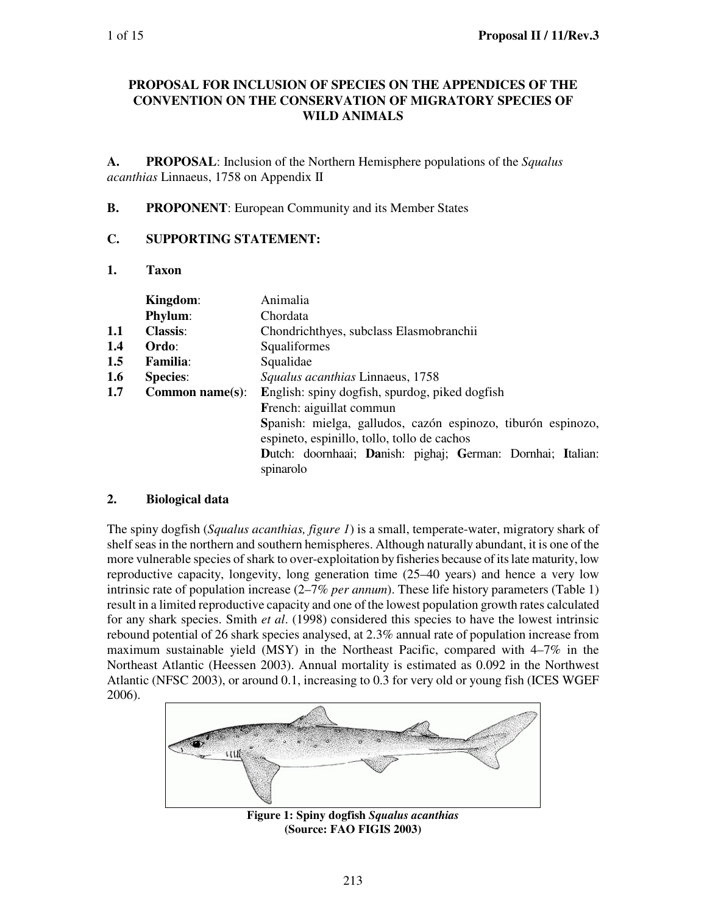### **PROPOSAL FOR INCLUSION OF SPECIES ON THE APPENDICES OF THE CONVENTION ON THE CONSERVATION OF MIGRATORY SPECIES OF WILD ANIMALS**

**A. PROPOSAL**: Inclusion of the Northern Hemisphere populations of the *Squalus acanthias* Linnaeus, 1758 on Appendix II

### **B. PROPONENT**: European Community and its Member States

### **C. SUPPORTING STATEMENT:**

### **1. Taxon**

|     | Kingdom:            | Animalia                                                                                                    |  |  |
|-----|---------------------|-------------------------------------------------------------------------------------------------------------|--|--|
|     | <b>Phylum:</b>      | Chordata                                                                                                    |  |  |
| 1.1 | <b>Classis:</b>     | Chondrichthyes, subclass Elasmobranchii                                                                     |  |  |
| 1.4 | Ordo:               | Squaliformes                                                                                                |  |  |
| 1.5 | <b>Familia:</b>     | Squalidae                                                                                                   |  |  |
| 1.6 | <b>Species:</b>     | Squalus acanthias Linnaeus, 1758                                                                            |  |  |
| 1.7 | Common name $(s)$ : | English: spiny dogfish, spurdog, piked dogfish                                                              |  |  |
|     |                     | French: aiguillat commun                                                                                    |  |  |
|     |                     | Spanish: mielga, galludos, cazón espinozo, tiburón espinozo,<br>espineto, espinillo, tollo, tollo de cachos |  |  |
|     |                     | Dutch: doornhaai; Danish: pighaj; German: Dornhai; Italian:<br>spinarolo                                    |  |  |

### **2. Biological data**

The spiny dogfish (*Squalus acanthias, figure 1*) is a small, temperate-water, migratory shark of shelf seas in the northern and southern hemispheres. Although naturally abundant, it is one of the more vulnerable species of shark to over-exploitation by fisheries because of its late maturity, low reproductive capacity, longevity, long generation time (25–40 years) and hence a very low intrinsic rate of population increase (2–7% *per annum*). These life history parameters (Table 1) result in a limited reproductive capacity and one of the lowest population growth rates calculated for any shark species. Smith *et al*. (1998) considered this species to have the lowest intrinsic rebound potential of 26 shark species analysed, at 2.3% annual rate of population increase from maximum sustainable yield (MSY) in the Northeast Pacific, compared with  $4-7\%$  in the Northeast Atlantic (Heessen 2003). Annual mortality is estimated as 0.092 in the Northwest Atlantic (NFSC 2003), or around 0.1, increasing to 0.3 for very old or young fish (ICES WGEF 2006).



**Figure 1: Spiny dogfish** *Squalus acanthias* **(Source: FAO FIGIS 2003)**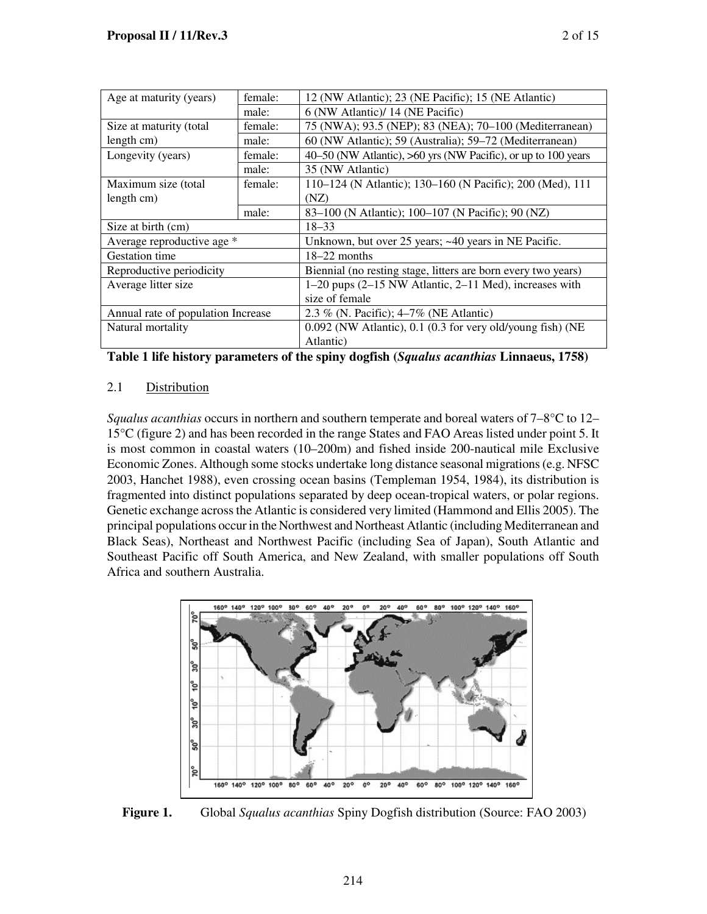|                                    | female: |                                                               |
|------------------------------------|---------|---------------------------------------------------------------|
| Age at maturity (years)            |         | 12 (NW Atlantic); 23 (NE Pacific); 15 (NE Atlantic)           |
|                                    | male:   | 6 (NW Atlantic)/ 14 (NE Pacific)                              |
| Size at maturity (total            | female: | 75 (NWA); 93.5 (NEP); 83 (NEA); 70-100 (Mediterranean)        |
| length cm)                         | male:   | 60 (NW Atlantic); 59 (Australia); 59–72 (Mediterranean)       |
| Longevity (years)                  | female: | 40–50 (NW Atlantic), >60 yrs (NW Pacific), or up to 100 years |
|                                    | male:   | 35 (NW Atlantic)                                              |
| Maximum size (total                | female: | 110–124 (N Atlantic); 130–160 (N Pacific); 200 (Med), 111     |
| length cm)                         |         | (NZ)                                                          |
|                                    | male:   | 83-100 (N Atlantic); 100-107 (N Pacific); 90 (NZ)             |
| Size at birth (cm)                 |         | $18 - 33$                                                     |
| Average reproductive age *         |         | Unknown, but over 25 years; ~40 years in NE Pacific.          |
| <b>Gestation time</b>              |         | $18-22$ months                                                |
| Reproductive periodicity           |         | Biennial (no resting stage, litters are born every two years) |
| Average litter size                |         | $1-20$ pups $(2-15$ NW Atlantic, $2-11$ Med), increases with  |
|                                    |         | size of female                                                |
| Annual rate of population Increase |         | 2.3 % (N. Pacific); 4–7% (NE Atlantic)                        |
| Natural mortality                  |         | 0.092 (NW Atlantic), 0.1 (0.3 for very old/young fish) (NE    |
|                                    |         | Atlantic)                                                     |

**Table 1 life history parameters of the spiny dogfish (***Squalus acanthias* **Linnaeus, 1758)**

# 2.1 Distribution

*Squalus acanthias* occurs in northern and southern temperate and boreal waters of 7–8°C to 12– 15°C (figure 2) and has been recorded in the range States and FAO Areas listed under point 5. It is most common in coastal waters (10–200m) and fished inside 200-nautical mile Exclusive Economic Zones. Although some stocks undertake long distance seasonal migrations (e.g. NFSC 2003, Hanchet 1988), even crossing ocean basins (Templeman 1954, 1984), its distribution is fragmented into distinct populations separated by deep ocean-tropical waters, or polar regions. Genetic exchange across the Atlantic is considered very limited (Hammond and Ellis 2005). The principal populations occur in the Northwest and Northeast Atlantic (including Mediterranean and Black Seas), Northeast and Northwest Pacific (including Sea of Japan), South Atlantic and Southeast Pacific off South America, and New Zealand, with smaller populations off South Africa and southern Australia.



**Figure 1.** Global *Squalus acanthias* Spiny Dogfish distribution (Source: FAO 2003)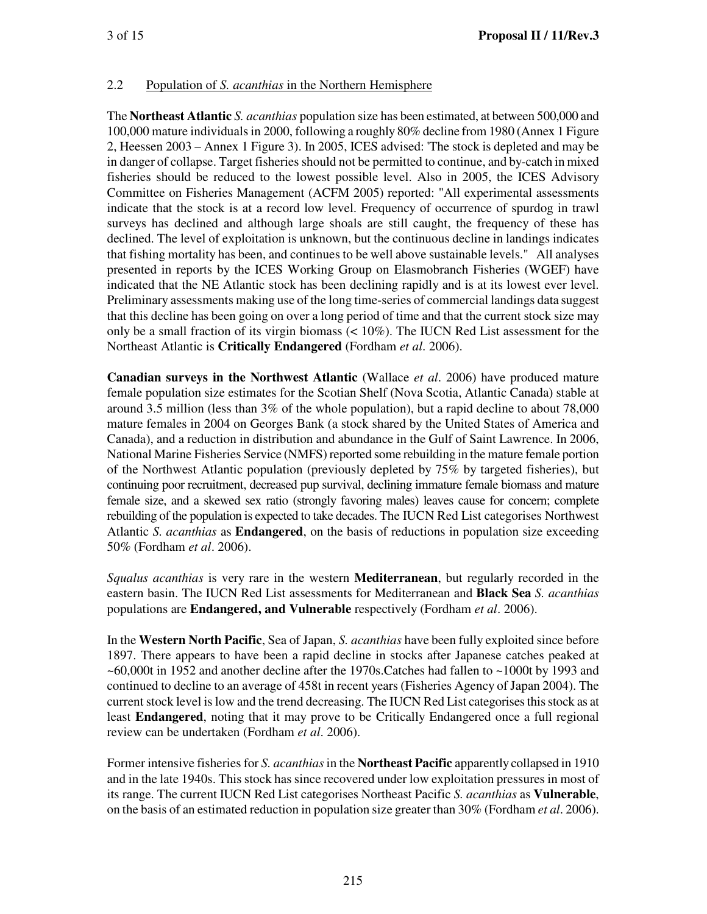## 2.2 Population of *S. acanthias* in the Northern Hemisphere

The **Northeast Atlantic** *S. acanthias* population size has been estimated, at between 500,000 and 100,000 mature individuals in 2000, following a roughly 80% decline from 1980 (Annex 1 Figure 2, Heessen 2003 – Annex 1 Figure 3). In 2005, ICES advised: 'The stock is depleted and may be in danger of collapse. Target fisheries should not be permitted to continue, and by-catch in mixed fisheries should be reduced to the lowest possible level. Also in 2005, the ICES Advisory Committee on Fisheries Management (ACFM 2005) reported: "All experimental assessments indicate that the stock is at a record low level. Frequency of occurrence of spurdog in trawl surveys has declined and although large shoals are still caught, the frequency of these has declined. The level of exploitation is unknown, but the continuous decline in landings indicates that fishing mortality has been, and continues to be well above sustainable levels." All analyses presented in reports by the ICES Working Group on Elasmobranch Fisheries (WGEF) have indicated that the NE Atlantic stock has been declining rapidly and is at its lowest ever level. Preliminary assessments making use of the long time-series of commercial landings data suggest that this decline has been going on over a long period of time and that the current stock size may only be a small fraction of its virgin biomass  $(< 10\%)$ . The IUCN Red List assessment for the Northeast Atlantic is **Critically Endangered** (Fordham *et al*. 2006).

**Canadian surveys in the Northwest Atlantic** (Wallace *et al*. 2006) have produced mature female population size estimates for the Scotian Shelf (Nova Scotia, Atlantic Canada) stable at around 3.5 million (less than 3% of the whole population), but a rapid decline to about 78,000 mature females in 2004 on Georges Bank (a stock shared by the United States of America and Canada), and a reduction in distribution and abundance in the Gulf of Saint Lawrence. In 2006, National Marine Fisheries Service (NMFS) reported some rebuilding in the mature female portion of the Northwest Atlantic population (previously depleted by 75% by targeted fisheries), but continuing poor recruitment, decreased pup survival, declining immature female biomass and mature female size, and a skewed sex ratio (strongly favoring males) leaves cause for concern; complete rebuilding of the population is expected to take decades. The IUCN Red List categorises Northwest Atlantic *S. acanthias* as **Endangered**, on the basis of reductions in population size exceeding 50% (Fordham *et al*. 2006).

*Squalus acanthias* is very rare in the western **Mediterranean**, but regularly recorded in the eastern basin. The IUCN Red List assessments for Mediterranean and **Black Sea** *S. acanthias*  populations are **Endangered, and Vulnerable** respectively (Fordham *et al*. 2006).

In the **Western North Pacific**, Sea of Japan, *S. acanthias* have been fully exploited since before 1897. There appears to have been a rapid decline in stocks after Japanese catches peaked at ~60,000t in 1952 and another decline after the 1970s.Catches had fallen to ~1000t by 1993 and continued to decline to an average of 458t in recent years (Fisheries Agency of Japan 2004). The current stock level is low and the trend decreasing. The IUCN Red List categorises this stock as at least **Endangered**, noting that it may prove to be Critically Endangered once a full regional review can be undertaken (Fordham *et al*. 2006).

Former intensive fisheries for *S. acanthias* in the **Northeast Pacific** apparently collapsed in 1910 and in the late 1940s. This stock has since recovered under low exploitation pressures in most of its range. The current IUCN Red List categorises Northeast Pacific *S. acanthias* as **Vulnerable**, on the basis of an estimated reduction in population size greater than 30% (Fordham *et al*. 2006).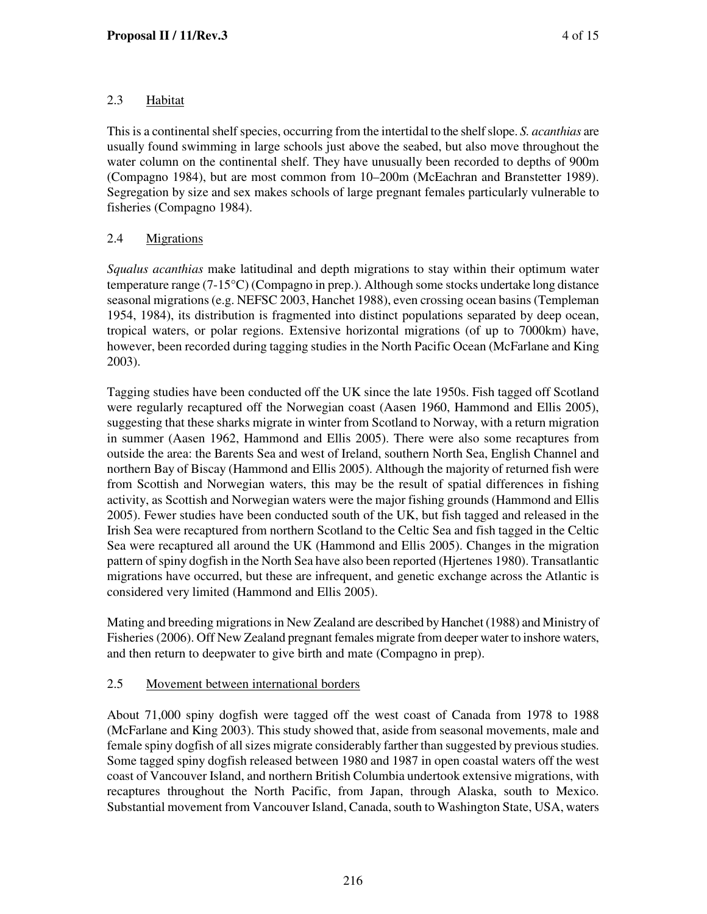# 2.3 Habitat

This is a continental shelf species, occurring from the intertidal to the shelf slope. *S. acanthias* are usually found swimming in large schools just above the seabed, but also move throughout the water column on the continental shelf. They have unusually been recorded to depths of 900m (Compagno 1984), but are most common from 10–200m (McEachran and Branstetter 1989). Segregation by size and sex makes schools of large pregnant females particularly vulnerable to fisheries (Compagno 1984).

# 2.4 Migrations

*Squalus acanthias* make latitudinal and depth migrations to stay within their optimum water temperature range (7-15°C) (Compagno in prep.). Although some stocks undertake long distance seasonal migrations (e.g. NEFSC 2003, Hanchet 1988), even crossing ocean basins (Templeman 1954, 1984), its distribution is fragmented into distinct populations separated by deep ocean, tropical waters, or polar regions. Extensive horizontal migrations (of up to 7000km) have, however, been recorded during tagging studies in the North Pacific Ocean (McFarlane and King 2003).

Tagging studies have been conducted off the UK since the late 1950s. Fish tagged off Scotland were regularly recaptured off the Norwegian coast (Aasen 1960, Hammond and Ellis 2005), suggesting that these sharks migrate in winter from Scotland to Norway, with a return migration in summer (Aasen 1962, Hammond and Ellis 2005). There were also some recaptures from outside the area: the Barents Sea and west of Ireland, southern North Sea, English Channel and northern Bay of Biscay (Hammond and Ellis 2005). Although the majority of returned fish were from Scottish and Norwegian waters, this may be the result of spatial differences in fishing activity, as Scottish and Norwegian waters were the major fishing grounds (Hammond and Ellis 2005). Fewer studies have been conducted south of the UK, but fish tagged and released in the Irish Sea were recaptured from northern Scotland to the Celtic Sea and fish tagged in the Celtic Sea were recaptured all around the UK (Hammond and Ellis 2005). Changes in the migration pattern of spiny dogfish in the North Sea have also been reported (Hjertenes 1980). Transatlantic migrations have occurred, but these are infrequent, and genetic exchange across the Atlantic is considered very limited (Hammond and Ellis 2005).

Mating and breeding migrations in New Zealand are described by Hanchet (1988) and Ministry of Fisheries (2006). Off New Zealand pregnant females migrate from deeper water to inshore waters, and then return to deepwater to give birth and mate (Compagno in prep).

# 2.5 Movement between international borders

About 71,000 spiny dogfish were tagged off the west coast of Canada from 1978 to 1988 (McFarlane and King 2003). This study showed that, aside from seasonal movements, male and female spiny dogfish of all sizes migrate considerably farther than suggested by previous studies. Some tagged spiny dogfish released between 1980 and 1987 in open coastal waters off the west coast of Vancouver Island, and northern British Columbia undertook extensive migrations, with recaptures throughout the North Pacific, from Japan, through Alaska, south to Mexico. Substantial movement from Vancouver Island, Canada, south to Washington State, USA, waters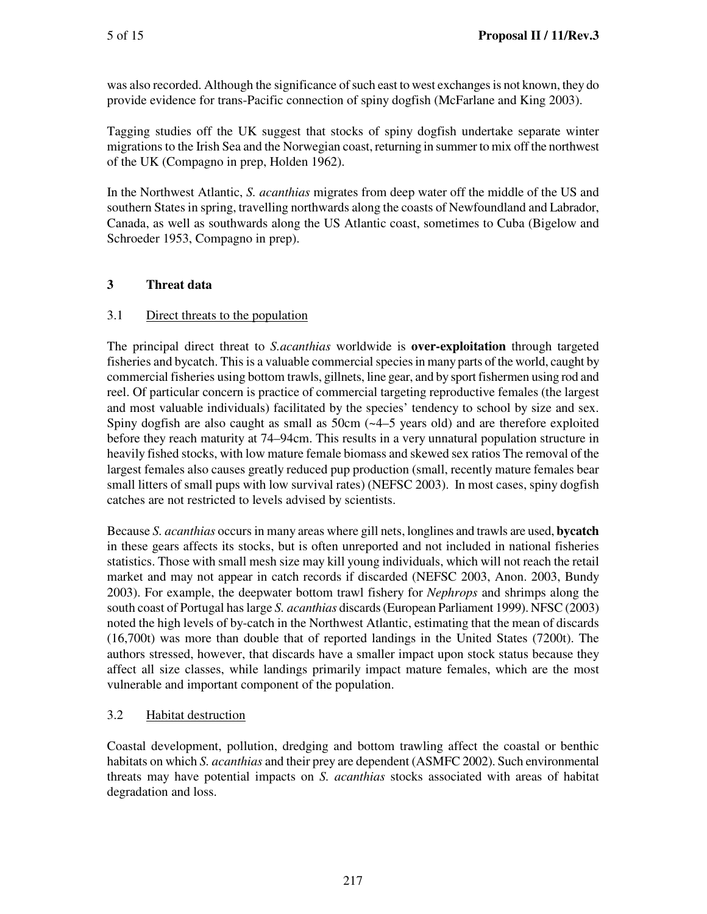was also recorded. Although the significance of such east to west exchanges is not known, they do provide evidence for trans-Pacific connection of spiny dogfish (McFarlane and King 2003).

Tagging studies off the UK suggest that stocks of spiny dogfish undertake separate winter migrations to the Irish Sea and the Norwegian coast, returning in summer to mix off the northwest of the UK (Compagno in prep, Holden 1962).

In the Northwest Atlantic, *S. acanthias* migrates from deep water off the middle of the US and southern States in spring, travelling northwards along the coasts of Newfoundland and Labrador, Canada, as well as southwards along the US Atlantic coast, sometimes to Cuba (Bigelow and Schroeder 1953, Compagno in prep).

# **3 Threat data**

# 3.1 Direct threats to the population

The principal direct threat to *S.acanthias* worldwide is **over-exploitation** through targeted fisheries and bycatch. This is a valuable commercial species in many parts of the world, caught by commercial fisheries using bottom trawls, gillnets, line gear, and by sport fishermen using rod and reel. Of particular concern is practice of commercial targeting reproductive females (the largest and most valuable individuals) facilitated by the species' tendency to school by size and sex. Spiny dogfish are also caught as small as 50cm (~4–5 years old) and are therefore exploited before they reach maturity at 74–94cm. This results in a very unnatural population structure in heavily fished stocks, with low mature female biomass and skewed sex ratios The removal of the largest females also causes greatly reduced pup production (small, recently mature females bear small litters of small pups with low survival rates) (NEFSC 2003). In most cases, spiny dogfish catches are not restricted to levels advised by scientists.

Because *S. acanthias* occurs in many areas where gill nets, longlines and trawls are used, **bycatch** in these gears affects its stocks, but is often unreported and not included in national fisheries statistics. Those with small mesh size may kill young individuals, which will not reach the retail market and may not appear in catch records if discarded (NEFSC 2003, Anon. 2003, Bundy 2003). For example, the deepwater bottom trawl fishery for *Nephrops* and shrimps along the south coast of Portugal has large *S. acanthias* discards (European Parliament 1999). NFSC (2003) noted the high levels of by-catch in the Northwest Atlantic, estimating that the mean of discards (16,700t) was more than double that of reported landings in the United States (7200t). The authors stressed, however, that discards have a smaller impact upon stock status because they affect all size classes, while landings primarily impact mature females, which are the most vulnerable and important component of the population.

# 3.2 Habitat destruction

Coastal development, pollution, dredging and bottom trawling affect the coastal or benthic habitats on which *S. acanthias* and their prey are dependent (ASMFC 2002). Such environmental threats may have potential impacts on *S. acanthias* stocks associated with areas of habitat degradation and loss.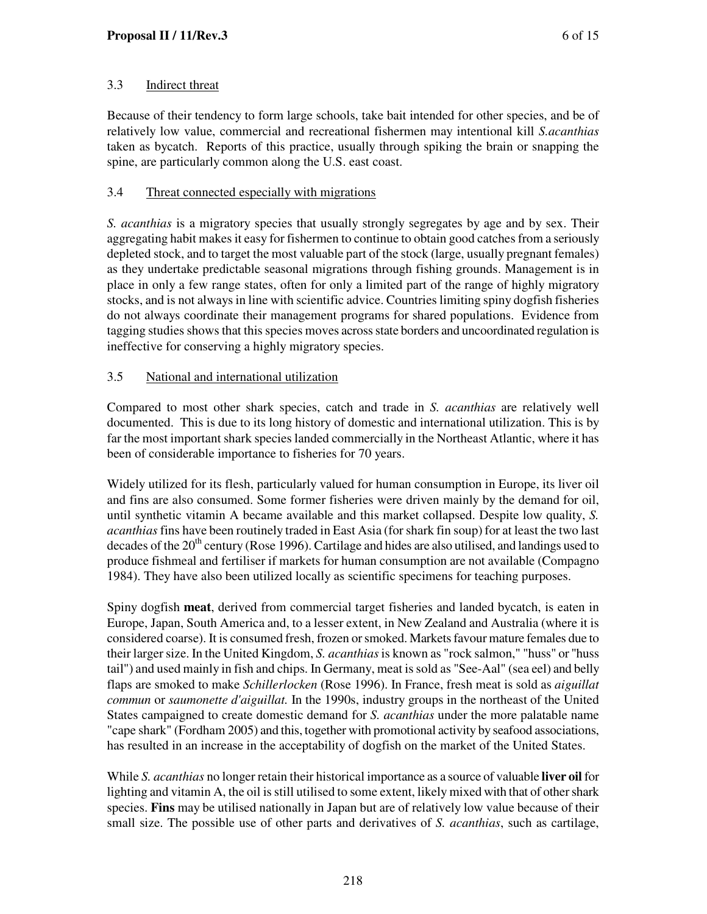## 3.3 Indirect threat

Because of their tendency to form large schools, take bait intended for other species, and be of relatively low value, commercial and recreational fishermen may intentional kill *S.acanthias*  taken as bycatch. Reports of this practice, usually through spiking the brain or snapping the spine, are particularly common along the U.S. east coast.

### 3.4 Threat connected especially with migrations

*S. acanthias* is a migratory species that usually strongly segregates by age and by sex. Their aggregating habit makes it easy for fishermen to continue to obtain good catches from a seriously depleted stock, and to target the most valuable part of the stock (large, usually pregnant females) as they undertake predictable seasonal migrations through fishing grounds. Management is in place in only a few range states, often for only a limited part of the range of highly migratory stocks, and is not always in line with scientific advice. Countries limiting spiny dogfish fisheries do not always coordinate their management programs for shared populations. Evidence from tagging studies shows that this species moves across state borders and uncoordinated regulation is ineffective for conserving a highly migratory species.

## 3.5 National and international utilization

Compared to most other shark species, catch and trade in *S. acanthias* are relatively well documented. This is due to its long history of domestic and international utilization. This is by far the most important shark species landed commercially in the Northeast Atlantic, where it has been of considerable importance to fisheries for 70 years.

Widely utilized for its flesh, particularly valued for human consumption in Europe, its liver oil and fins are also consumed. Some former fisheries were driven mainly by the demand for oil, until synthetic vitamin A became available and this market collapsed. Despite low quality, *S. acanthias* fins have been routinely traded in East Asia (for shark fin soup) for at least the two last decades of the  $20<sup>th</sup>$  century (Rose 1996). Cartilage and hides are also utilised, and landings used to produce fishmeal and fertiliser if markets for human consumption are not available (Compagno 1984). They have also been utilized locally as scientific specimens for teaching purposes.

Spiny dogfish **meat**, derived from commercial target fisheries and landed bycatch, is eaten in Europe, Japan, South America and, to a lesser extent, in New Zealand and Australia (where it is considered coarse). It is consumed fresh, frozen or smoked. Markets favour mature females due to their larger size. In the United Kingdom, *S. acanthias* is known as "rock salmon," "huss" or "huss tail") and used mainly in fish and chips. In Germany, meat is sold as "See-Aal" (sea eel) and belly flaps are smoked to make *Schillerlocken* (Rose 1996). In France, fresh meat is sold as *aiguillat commun* or *saumonette d'aiguillat.* In the 1990s, industry groups in the northeast of the United States campaigned to create domestic demand for *S. acanthias* under the more palatable name "cape shark" (Fordham 2005) and this, together with promotional activity by seafood associations, has resulted in an increase in the acceptability of dogfish on the market of the United States.

While *S. acanthias* no longer retain their historical importance as a source of valuable **liver oil** for lighting and vitamin A, the oil is still utilised to some extent, likely mixed with that of other shark species. **Fins** may be utilised nationally in Japan but are of relatively low value because of their small size. The possible use of other parts and derivatives of *S. acanthias*, such as cartilage,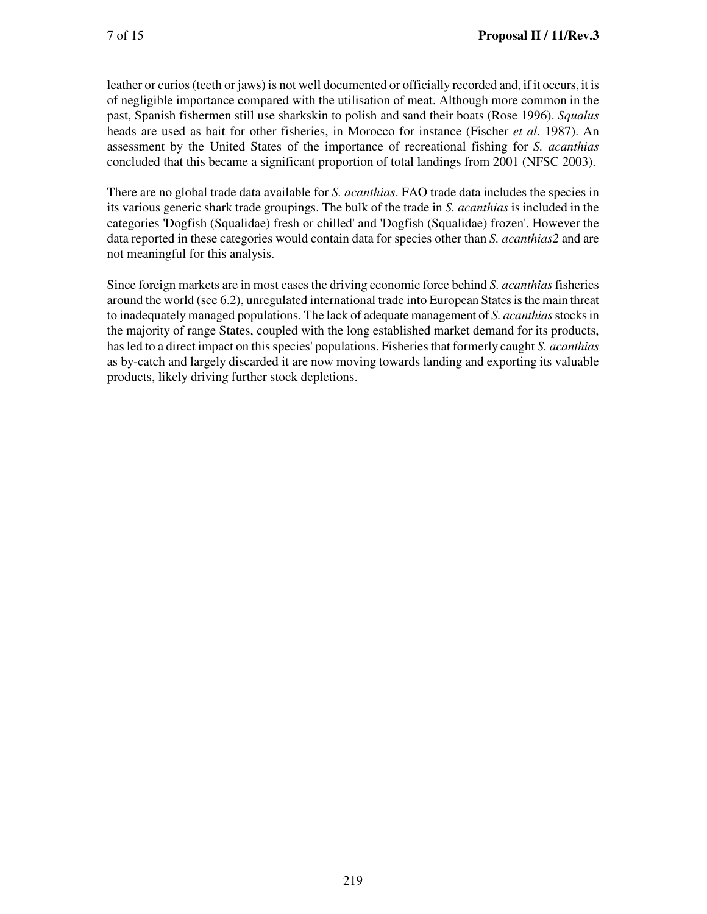leather or curios (teeth or jaws) is not well documented or officially recorded and, if it occurs, it is of negligible importance compared with the utilisation of meat. Although more common in the past, Spanish fishermen still use sharkskin to polish and sand their boats (Rose 1996). *Squalus*  heads are used as bait for other fisheries, in Morocco for instance (Fischer *et al*. 1987). An assessment by the United States of the importance of recreational fishing for *S. acanthias*  concluded that this became a significant proportion of total landings from 2001 (NFSC 2003).

There are no global trade data available for *S. acanthias*. FAO trade data includes the species in its various generic shark trade groupings. The bulk of the trade in *S. acanthias* is included in the categories 'Dogfish (Squalidae) fresh or chilled' and 'Dogfish (Squalidae) frozen'. However the data reported in these categories would contain data for species other than *S. acanthias2* and are not meaningful for this analysis.

Since foreign markets are in most cases the driving economic force behind *S. acanthias* fisheries around the world (see 6.2), unregulated international trade into European States is the main threat to inadequately managed populations. The lack of adequate management of *S. acanthias* stocks in the majority of range States, coupled with the long established market demand for its products, has led to a direct impact on this species' populations. Fisheries that formerly caught *S. acanthias*  as by-catch and largely discarded it are now moving towards landing and exporting its valuable products, likely driving further stock depletions.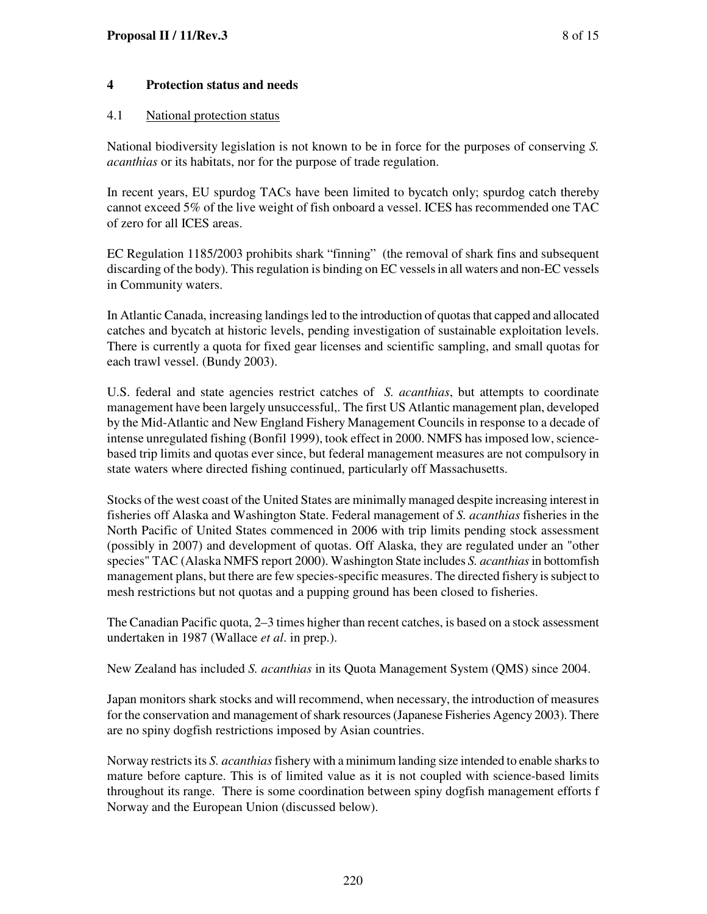### **4 Protection status and needs**

#### 4.1 National protection status

National biodiversity legislation is not known to be in force for the purposes of conserving *S. acanthias* or its habitats, nor for the purpose of trade regulation.

In recent years, EU spurdog TACs have been limited to bycatch only; spurdog catch thereby cannot exceed 5% of the live weight of fish onboard a vessel. ICES has recommended one TAC of zero for all ICES areas.

EC Regulation 1185/2003 prohibits shark "finning" (the removal of shark fins and subsequent discarding of the body). This regulation is binding on EC vessels in all waters and non-EC vessels in Community waters.

In Atlantic Canada, increasing landings led to the introduction of quotas that capped and allocated catches and bycatch at historic levels, pending investigation of sustainable exploitation levels. There is currently a quota for fixed gear licenses and scientific sampling, and small quotas for each trawl vessel. (Bundy 2003).

U.S. federal and state agencies restrict catches of *S. acanthias*, but attempts to coordinate management have been largely unsuccessful,. The first US Atlantic management plan, developed by the Mid-Atlantic and New England Fishery Management Councils in response to a decade of intense unregulated fishing (Bonfil 1999), took effect in 2000. NMFS has imposed low, sciencebased trip limits and quotas ever since, but federal management measures are not compulsory in state waters where directed fishing continued, particularly off Massachusetts.

Stocks of the west coast of the United States are minimally managed despite increasing interest in fisheries off Alaska and Washington State. Federal management of *S. acanthias* fisheries in the North Pacific of United States commenced in 2006 with trip limits pending stock assessment (possibly in 2007) and development of quotas. Off Alaska, they are regulated under an "other species" TAC (Alaska NMFS report 2000). Washington State includes *S. acanthias* in bottomfish management plans, but there are few species-specific measures. The directed fishery is subject to mesh restrictions but not quotas and a pupping ground has been closed to fisheries.

The Canadian Pacific quota, 2–3 times higher than recent catches, is based on a stock assessment undertaken in 1987 (Wallace *et al*. in prep.).

New Zealand has included *S. acanthias* in its Quota Management System (QMS) since 2004.

Japan monitors shark stocks and will recommend, when necessary, the introduction of measures for the conservation and management of shark resources (Japanese Fisheries Agency 2003). There are no spiny dogfish restrictions imposed by Asian countries.

Norway restricts its *S. acanthias* fishery with a minimum landing size intended to enable sharks to mature before capture. This is of limited value as it is not coupled with science-based limits throughout its range. There is some coordination between spiny dogfish management efforts f Norway and the European Union (discussed below).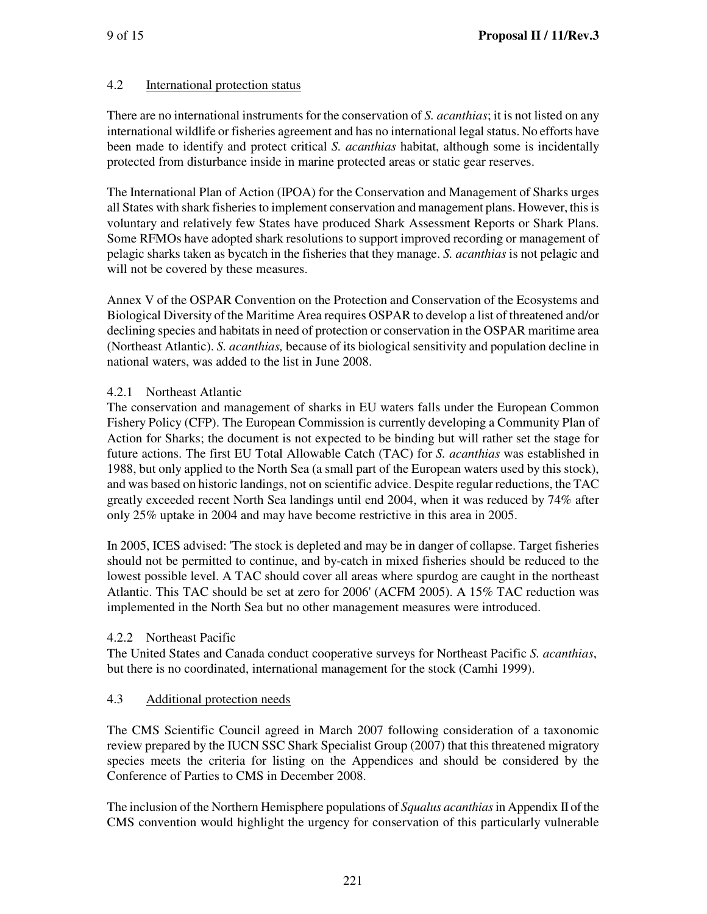## 4.2 International protection status

There are no international instruments for the conservation of *S. acanthias*; it is not listed on any international wildlife or fisheries agreement and has no international legal status. No efforts have been made to identify and protect critical *S. acanthias* habitat, although some is incidentally protected from disturbance inside in marine protected areas or static gear reserves.

The International Plan of Action (IPOA) for the Conservation and Management of Sharks urges all States with shark fisheries to implement conservation and management plans. However, this is voluntary and relatively few States have produced Shark Assessment Reports or Shark Plans. Some RFMOs have adopted shark resolutions to support improved recording or management of pelagic sharks taken as bycatch in the fisheries that they manage. *S. acanthias* is not pelagic and will not be covered by these measures.

Annex V of the OSPAR Convention on the Protection and Conservation of the Ecosystems and Biological Diversity of the Maritime Area requires OSPAR to develop a list of threatened and/or declining species and habitats in need of protection or conservation in the OSPAR maritime area (Northeast Atlantic). *S. acanthias,* because of its biological sensitivity and population decline in national waters, was added to the list in June 2008.

## 4.2.1 Northeast Atlantic

The conservation and management of sharks in EU waters falls under the European Common Fishery Policy (CFP). The European Commission is currently developing a Community Plan of Action for Sharks; the document is not expected to be binding but will rather set the stage for future actions. The first EU Total Allowable Catch (TAC) for *S. acanthias* was established in 1988, but only applied to the North Sea (a small part of the European waters used by this stock), and was based on historic landings, not on scientific advice. Despite regular reductions, the TAC greatly exceeded recent North Sea landings until end 2004, when it was reduced by 74% after only 25% uptake in 2004 and may have become restrictive in this area in 2005.

In 2005, ICES advised: 'The stock is depleted and may be in danger of collapse. Target fisheries should not be permitted to continue, and by-catch in mixed fisheries should be reduced to the lowest possible level. A TAC should cover all areas where spurdog are caught in the northeast Atlantic. This TAC should be set at zero for 2006' (ACFM 2005). A 15% TAC reduction was implemented in the North Sea but no other management measures were introduced.

### 4.2.2 Northeast Pacific

The United States and Canada conduct cooperative surveys for Northeast Pacific *S. acanthias*, but there is no coordinated, international management for the stock (Camhi 1999).

### 4.3 Additional protection needs

The CMS Scientific Council agreed in March 2007 following consideration of a taxonomic review prepared by the IUCN SSC Shark Specialist Group (2007) that this threatened migratory species meets the criteria for listing on the Appendices and should be considered by the Conference of Parties to CMS in December 2008.

The inclusion of the Northern Hemisphere populations of *Squalus acanthias* in Appendix II of the CMS convention would highlight the urgency for conservation of this particularly vulnerable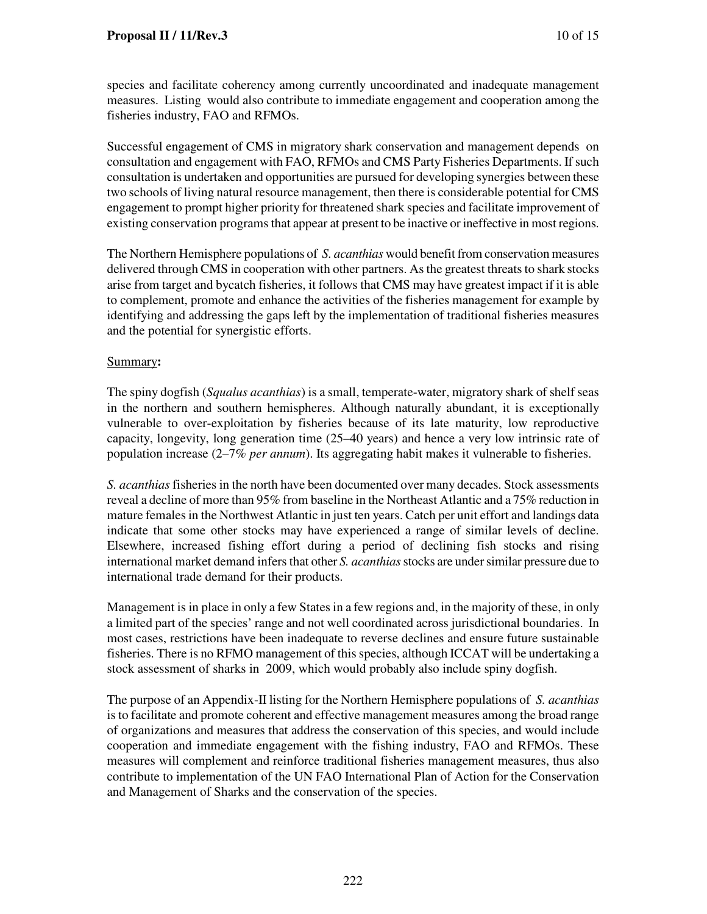species and facilitate coherency among currently uncoordinated and inadequate management measures. Listing would also contribute to immediate engagement and cooperation among the fisheries industry, FAO and RFMOs.

Successful engagement of CMS in migratory shark conservation and management depends on consultation and engagement with FAO, RFMOs and CMS Party Fisheries Departments. If such consultation is undertaken and opportunities are pursued for developing synergies between these two schools of living natural resource management, then there is considerable potential for CMS engagement to prompt higher priority for threatened shark species and facilitate improvement of existing conservation programs that appear at present to be inactive or ineffective in most regions.

The Northern Hemisphere populations of *S. acanthias* would benefit from conservation measures delivered through CMS in cooperation with other partners. As the greatest threats to shark stocks arise from target and bycatch fisheries, it follows that CMS may have greatest impact if it is able to complement, promote and enhance the activities of the fisheries management for example by identifying and addressing the gaps left by the implementation of traditional fisheries measures and the potential for synergistic efforts.

### Summary**:**

The spiny dogfish (*Squalus acanthias*) is a small, temperate-water, migratory shark of shelf seas in the northern and southern hemispheres. Although naturally abundant, it is exceptionally vulnerable to over-exploitation by fisheries because of its late maturity, low reproductive capacity, longevity, long generation time (25–40 years) and hence a very low intrinsic rate of population increase (2–7% *per annum*). Its aggregating habit makes it vulnerable to fisheries.

*S. acanthias* fisheries in the north have been documented over many decades. Stock assessments reveal a decline of more than 95% from baseline in the Northeast Atlantic and a 75% reduction in mature females in the Northwest Atlantic in just ten years. Catch per unit effort and landings data indicate that some other stocks may have experienced a range of similar levels of decline. Elsewhere, increased fishing effort during a period of declining fish stocks and rising international market demand infers that other *S. acanthias* stocks are under similar pressure due to international trade demand for their products.

Management is in place in only a few States in a few regions and, in the majority of these, in only a limited part of the species' range and not well coordinated across jurisdictional boundaries. In most cases, restrictions have been inadequate to reverse declines and ensure future sustainable fisheries. There is no RFMO management of this species, although ICCAT will be undertaking a stock assessment of sharks in 2009, which would probably also include spiny dogfish.

The purpose of an Appendix-II listing for the Northern Hemisphere populations of *S. acanthias*  is to facilitate and promote coherent and effective management measures among the broad range of organizations and measures that address the conservation of this species, and would include cooperation and immediate engagement with the fishing industry, FAO and RFMOs. These measures will complement and reinforce traditional fisheries management measures, thus also contribute to implementation of the UN FAO International Plan of Action for the Conservation and Management of Sharks and the conservation of the species.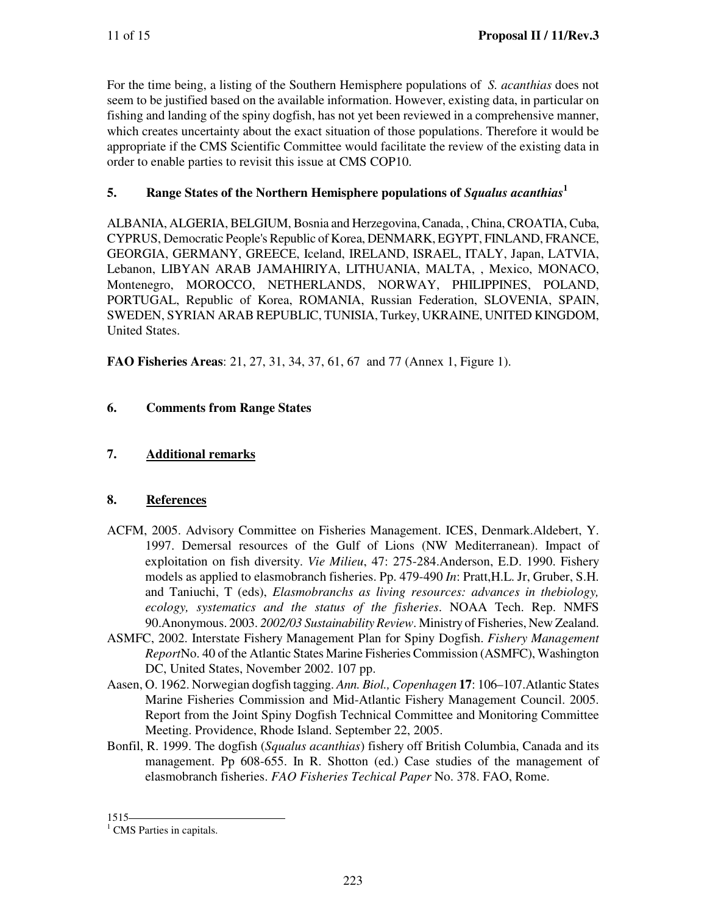For the time being, a listing of the Southern Hemisphere populations of *S. acanthias* does not seem to be justified based on the available information. However, existing data, in particular on fishing and landing of the spiny dogfish, has not yet been reviewed in a comprehensive manner, which creates uncertainty about the exact situation of those populations. Therefore it would be appropriate if the CMS Scientific Committee would facilitate the review of the existing data in order to enable parties to revisit this issue at CMS COP10.

# **5. Range States of the Northern Hemisphere populations of** *Squalus acanthias***<sup>1</sup>**

ALBANIA, ALGERIA, BELGIUM, Bosnia and Herzegovina, Canada, , China, CROATIA, Cuba, CYPRUS, Democratic People's Republic of Korea, DENMARK, EGYPT, FINLAND, FRANCE, GEORGIA, GERMANY, GREECE, Iceland, IRELAND, ISRAEL, ITALY, Japan, LATVIA, Lebanon, LIBYAN ARAB JAMAHIRIYA, LITHUANIA, MALTA, , Mexico, MONACO, Montenegro, MOROCCO, NETHERLANDS, NORWAY, PHILIPPINES, POLAND, PORTUGAL, Republic of Korea, ROMANIA, Russian Federation, SLOVENIA, SPAIN, SWEDEN, SYRIAN ARAB REPUBLIC, TUNISIA, Turkey, UKRAINE, UNITED KINGDOM, United States.

**FAO Fisheries Areas**: 21, 27, 31, 34, 37, 61, 67 and 77 (Annex 1, Figure 1).

# **6. Comments from Range States**

# **7. Additional remarks**

# **8. References**

- ACFM, 2005. Advisory Committee on Fisheries Management. ICES, Denmark.Aldebert, Y. 1997. Demersal resources of the Gulf of Lions (NW Mediterranean). Impact of exploitation on fish diversity. *Vie Milieu*, 47: 275-284.Anderson, E.D. 1990. Fishery models as applied to elasmobranch fisheries. Pp. 479-490 *In*: Pratt,H.L. Jr, Gruber, S.H. and Taniuchi, T (eds), *Elasmobranchs as living resources: advances in thebiology, ecology, systematics and the status of the fisheries*. NOAA Tech. Rep. NMFS 90.Anonymous. 2003. *2002/03 Sustainability Review*. Ministry of Fisheries, New Zealand.
- ASMFC, 2002. Interstate Fishery Management Plan for Spiny Dogfish. *Fishery Management Report*No. 40 of the Atlantic States Marine Fisheries Commission (ASMFC), Washington DC, United States, November 2002. 107 pp.
- Aasen, O. 1962. Norwegian dogfish tagging. *Ann. Biol., Copenhagen* **17**: 106–107.Atlantic States Marine Fisheries Commission and Mid-Atlantic Fishery Management Council. 2005. Report from the Joint Spiny Dogfish Technical Committee and Monitoring Committee Meeting. Providence, Rhode Island. September 22, 2005.
- Bonfil, R. 1999. The dogfish (*Squalus acanthias*) fishery off British Columbia, Canada and its management. Pp 608-655. In R. Shotton (ed.) Case studies of the management of elasmobranch fisheries. *FAO Fisheries Techical Paper* No. 378. FAO, Rome.

<sup>1515</sup> 

<sup>&</sup>lt;sup>1</sup> CMS Parties in capitals.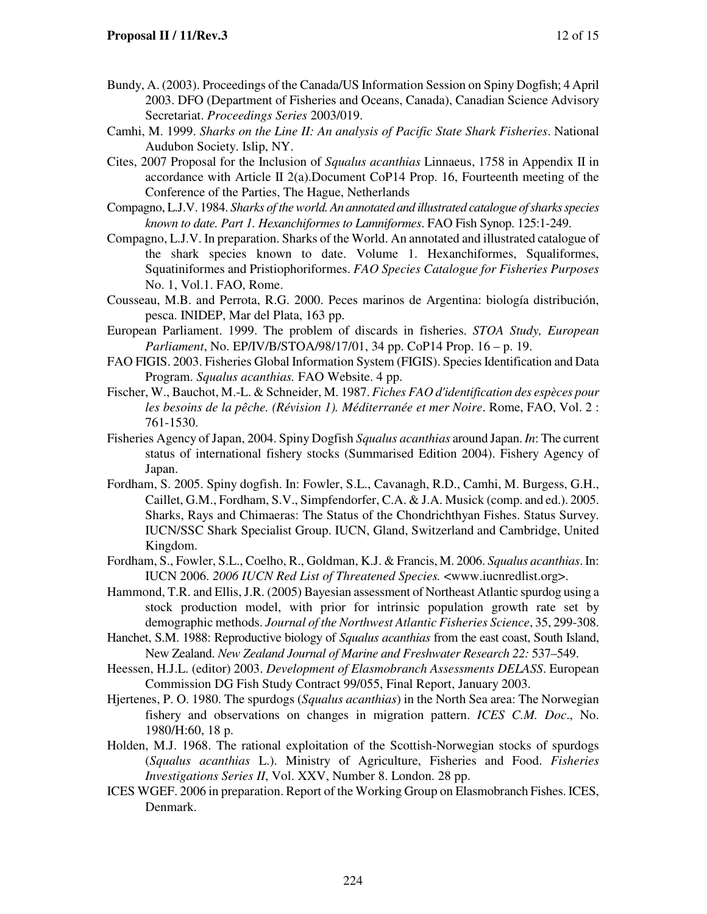- Bundy, A. (2003). Proceedings of the Canada/US Information Session on Spiny Dogfish; 4 April 2003. DFO (Department of Fisheries and Oceans, Canada), Canadian Science Advisory Secretariat. *Proceedings Series* 2003/019.
- Camhi, M. 1999. *Sharks on the Line II: An analysis of Pacific State Shark Fisheries*. National Audubon Society. Islip, NY.
- Cites, 2007 Proposal for the Inclusion of *Squalus acanthias* Linnaeus, 1758 in Appendix II in accordance with Article II 2(a).Document CoP14 Prop. 16, Fourteenth meeting of the Conference of the Parties, The Hague, Netherlands
- Compagno, L.J.V. 1984. *Sharks of the world. An annotated and illustrated catalogue of sharks species known to date. Part 1. Hexanchiformes to Lamniformes*. FAO Fish Synop. 125:1-249.
- Compagno, L.J.V. In preparation. Sharks of the World. An annotated and illustrated catalogue of the shark species known to date. Volume 1. Hexanchiformes, Squaliformes, Squatiniformes and Pristiophoriformes. *FAO Species Catalogue for Fisheries Purposes*  No. 1, Vol.1. FAO, Rome.
- Cousseau, M.B. and Perrota, R.G. 2000. Peces marinos de Argentina: biología distribución, pesca. INIDEP, Mar del Plata, 163 pp.
- European Parliament. 1999. The problem of discards in fisheries. *STOA Study, European Parliament*, No. EP/IV/B/STOA/98/17/01, 34 pp. CoP14 Prop. 16 – p. 19.
- FAO FIGIS. 2003. Fisheries Global Information System (FIGIS). Species Identification and Data Program. *Squalus acanthias.* FAO Website. 4 pp.
- Fischer, W., Bauchot, M.-L. & Schneider, M. 1987. *Fiches FAO d'identification des espèces pour les besoins de la pêche. (Révision 1). Méditerranée et mer Noire*. Rome, FAO, Vol. 2 : 761-1530.
- Fisheries Agency of Japan, 2004. Spiny Dogfish *Squalus acanthias* around Japan. *In*: The current status of international fishery stocks (Summarised Edition 2004). Fishery Agency of Japan.
- Fordham, S. 2005. Spiny dogfish. In: Fowler, S.L., Cavanagh, R.D., Camhi, M. Burgess, G.H., Caillet, G.M., Fordham, S.V., Simpfendorfer, C.A. & J.A. Musick (comp. and ed.). 2005. Sharks, Rays and Chimaeras: The Status of the Chondrichthyan Fishes. Status Survey. IUCN/SSC Shark Specialist Group. IUCN, Gland, Switzerland and Cambridge, United Kingdom.
- Fordham, S., Fowler, S.L., Coelho, R., Goldman, K.J. & Francis, M. 2006. *Squalus acanthias*. In: IUCN 2006. *2006 IUCN Red List of Threatened Species.* <www.iucnredlist.org>.
- Hammond, T.R. and Ellis, J.R. (2005) Bayesian assessment of Northeast Atlantic spurdog using a stock production model, with prior for intrinsic population growth rate set by demographic methods. *Journal of the Northwest Atlantic Fisheries Science*, 35, 299-308.
- Hanchet, S.M. 1988: Reproductive biology of *Squalus acanthias* from the east coast, South Island, New Zealand. *New Zealand Journal of Marine and Freshwater Research 22:* 537–549.
- Heessen, H.J.L. (editor) 2003. *Development of Elasmobranch Assessments DELASS*. European Commission DG Fish Study Contract 99/055, Final Report, January 2003.
- Hjertenes, P. O. 1980. The spurdogs (*Squalus acanthias*) in the North Sea area: The Norwegian fishery and observations on changes in migration pattern. *ICES C.M. Doc*., No. 1980/H:60, 18 p.
- Holden, M.J. 1968. The rational exploitation of the Scottish-Norwegian stocks of spurdogs (*Squalus acanthias* L.). Ministry of Agriculture, Fisheries and Food. *Fisheries Investigations Series II*, Vol. XXV, Number 8. London. 28 pp.
- ICES WGEF. 2006 in preparation. Report of the Working Group on Elasmobranch Fishes. ICES, Denmark.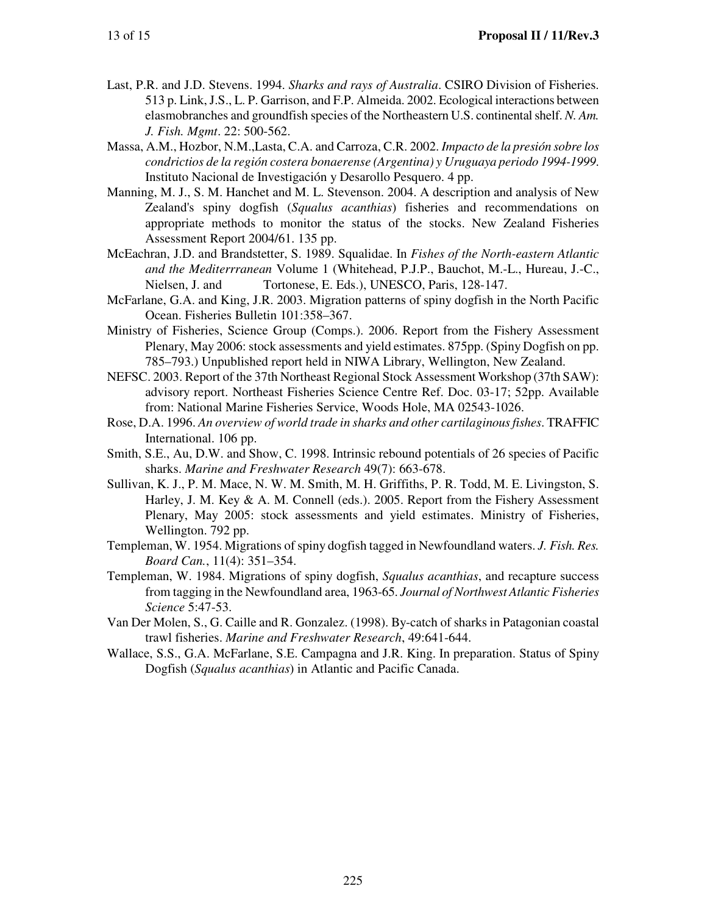- Last, P.R. and J.D. Stevens. 1994. *Sharks and rays of Australia*. CSIRO Division of Fisheries. 513 p. Link, J.S., L. P. Garrison, and F.P. Almeida. 2002. Ecological interactions between elasmobranches and groundfish species of the Northeastern U.S. continental shelf. *N. Am. J. Fish. Mgmt*. 22: 500-562.
- Massa, A.M., Hozbor, N.M.,Lasta, C.A. and Carroza, C.R. 2002. *Impacto de la presión sobre los condrictios de la región costera bonaerense (Argentina) y Uruguaya periodo 1994-1999*. Instituto Nacional de Investigación y Desarollo Pesquero. 4 pp.
- Manning, M. J., S. M. Hanchet and M. L. Stevenson. 2004. A description and analysis of New Zealand's spiny dogfish (*Squalus acanthias*) fisheries and recommendations on appropriate methods to monitor the status of the stocks. New Zealand Fisheries Assessment Report 2004/61. 135 pp.
- McEachran, J.D. and Brandstetter, S. 1989. Squalidae. In *Fishes of the North-eastern Atlantic and the Mediterrranean* Volume 1 (Whitehead, P.J.P., Bauchot, M.-L., Hureau, J.-C., Nielsen, J. and Tortonese, E. Eds.), UNESCO, Paris, 128-147.
- McFarlane, G.A. and King, J.R. 2003. Migration patterns of spiny dogfish in the North Pacific Ocean. Fisheries Bulletin 101:358–367.
- Ministry of Fisheries, Science Group (Comps.). 2006. Report from the Fishery Assessment Plenary, May 2006: stock assessments and yield estimates. 875pp. (Spiny Dogfish on pp. 785–793.) Unpublished report held in NIWA Library, Wellington, New Zealand.
- NEFSC. 2003. Report of the 37th Northeast Regional Stock Assessment Workshop (37th SAW): advisory report. Northeast Fisheries Science Centre Ref. Doc. 03-17; 52pp. Available from: National Marine Fisheries Service, Woods Hole, MA 02543-1026.
- Rose, D.A. 1996. *An overview of world trade in sharks and other cartilaginous fishes*. TRAFFIC International. 106 pp.
- Smith, S.E., Au, D.W. and Show, C. 1998. Intrinsic rebound potentials of 26 species of Pacific sharks. *Marine and Freshwater Research* 49(7): 663-678.
- Sullivan, K. J., P. M. Mace, N. W. M. Smith, M. H. Griffiths, P. R. Todd, M. E. Livingston, S. Harley, J. M. Key & A. M. Connell (eds.). 2005. Report from the Fishery Assessment Plenary, May 2005: stock assessments and yield estimates. Ministry of Fisheries, Wellington. 792 pp.
- Templeman, W. 1954. Migrations of spiny dogfish tagged in Newfoundland waters. *J. Fish. Res. Board Can.*, 11(4): 351–354.
- Templeman, W. 1984. Migrations of spiny dogfish, *Squalus acanthias*, and recapture success from tagging in the Newfoundland area, 1963-65. *Journal of Northwest Atlantic Fisheries Science* 5:47-53.
- Van Der Molen, S., G. Caille and R. Gonzalez. (1998). By-catch of sharks in Patagonian coastal trawl fisheries. *Marine and Freshwater Research*, 49:641-644.
- Wallace, S.S., G.A. McFarlane, S.E. Campagna and J.R. King. In preparation. Status of Spiny Dogfish (*Squalus acanthias*) in Atlantic and Pacific Canada.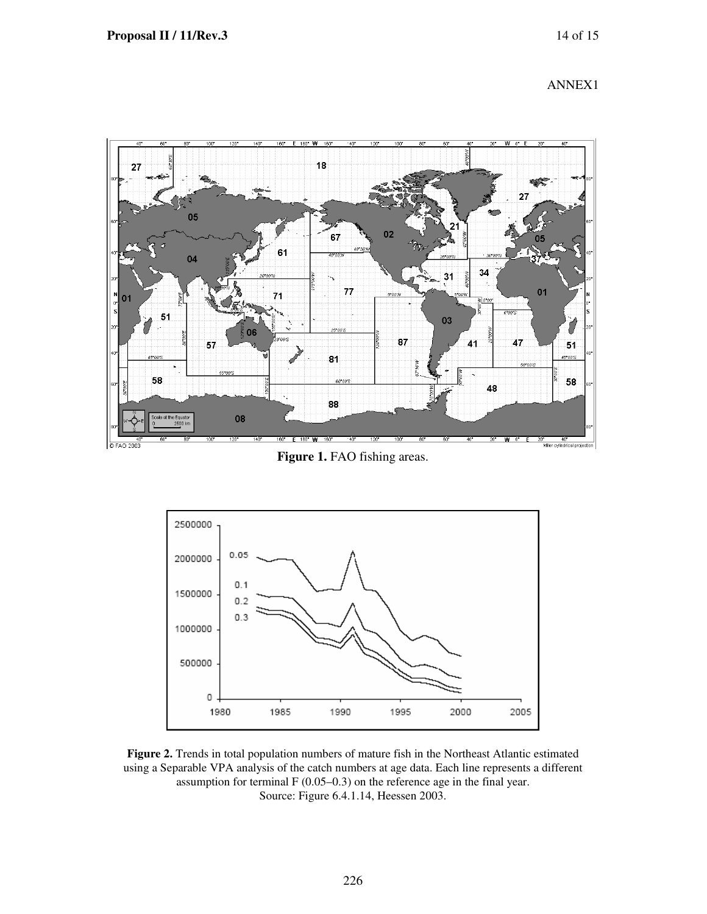



Figure 1. FAO fishing areas.



**Figure 2.** Trends in total population numbers of mature fish in the Northeast Atlantic estimated using a Separable VPA analysis of the catch numbers at age data. Each line represents a different assumption for terminal F (0.05–0.3) on the reference age in the final year. Source: Figure 6.4.1.14, Heessen 2003.